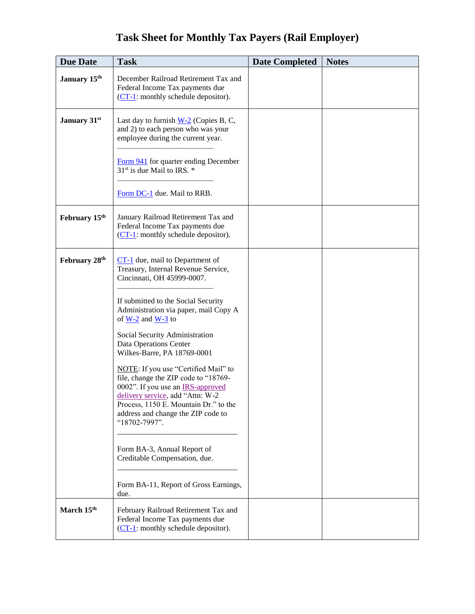| <b>Task Sheet for Monthly Tax Payers (Rail Employer)</b> |  |  |  |  |
|----------------------------------------------------------|--|--|--|--|
|----------------------------------------------------------|--|--|--|--|

| <b>Due Date</b> | <b>Task</b>                                                                                                                                                                                                                                                                                                                                                                                                                                                                                                                                                                                                                                | <b>Date Completed</b> | <b>Notes</b> |
|-----------------|--------------------------------------------------------------------------------------------------------------------------------------------------------------------------------------------------------------------------------------------------------------------------------------------------------------------------------------------------------------------------------------------------------------------------------------------------------------------------------------------------------------------------------------------------------------------------------------------------------------------------------------------|-----------------------|--------------|
| January 15th    | December Railroad Retirement Tax and<br>Federal Income Tax payments due<br>$(CT-1)$ : monthly schedule depositor).                                                                                                                                                                                                                                                                                                                                                                                                                                                                                                                         |                       |              |
| January 31st    | Last day to furnish $W-2$ (Copies B, C,<br>and 2) to each person who was your<br>employee during the current year.<br>Form 941 for quarter ending December<br>31 <sup>st</sup> is due Mail to IRS. *                                                                                                                                                                                                                                                                                                                                                                                                                                       |                       |              |
|                 | Form DC-1 due. Mail to RRB.                                                                                                                                                                                                                                                                                                                                                                                                                                                                                                                                                                                                                |                       |              |
| February 15th   | January Railroad Retirement Tax and<br>Federal Income Tax payments due<br>$(CT-1)$ : monthly schedule depositor).                                                                                                                                                                                                                                                                                                                                                                                                                                                                                                                          |                       |              |
| February 28th   | $CT-1$ due, mail to Department of<br>Treasury, Internal Revenue Service,<br>Cincinnati, OH 45999-0007.<br>If submitted to the Social Security<br>Administration via paper, mail Copy A<br>of $W-2$ and $W-3$ to<br>Social Security Administration<br>Data Operations Center<br>Wilkes-Barre, PA 18769-0001<br>NOTE: If you use "Certified Mail" to<br>file, change the ZIP code to "18769-<br>0002". If you use an <b>IRS-approved</b><br>delivery service, add "Attn: W-2<br>Process, 1150 E. Mountain Dr." to the<br>address and change the ZIP code to<br>"18702-7997".<br>Form BA-3, Annual Report of<br>Creditable Compensation, due. |                       |              |
|                 | Form BA-11, Report of Gross Earnings,<br>due.                                                                                                                                                                                                                                                                                                                                                                                                                                                                                                                                                                                              |                       |              |
| March 15th      | February Railroad Retirement Tax and<br>Federal Income Tax payments due<br>$(CT-1)$ : monthly schedule depositor).                                                                                                                                                                                                                                                                                                                                                                                                                                                                                                                         |                       |              |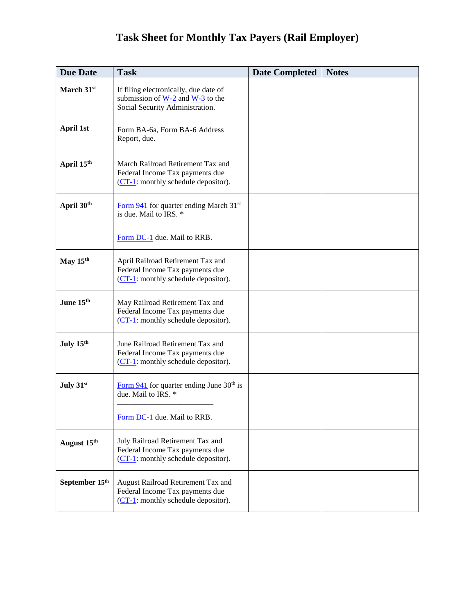## **Task Sheet for Monthly Tax Payers (Rail Employer)**

| <b>Due Date</b>  | <b>Task</b>                                                                                                                              | <b>Date Completed</b> | <b>Notes</b> |
|------------------|------------------------------------------------------------------------------------------------------------------------------------------|-----------------------|--------------|
| March 31st       | If filing electronically, due date of<br>submission of $\underline{W-2}$ and $\underline{W-3}$ to the<br>Social Security Administration. |                       |              |
| <b>April 1st</b> | Form BA-6a, Form BA-6 Address<br>Report, due.                                                                                            |                       |              |
| April 15th       | March Railroad Retirement Tax and<br>Federal Income Tax payments due<br>$(CT-1)$ : monthly schedule depositor).                          |                       |              |
| April 30th       | Form $941$ for quarter ending March 31 <sup>st</sup><br>is due. Mail to IRS. *<br>Form DC-1 due. Mail to RRB.                            |                       |              |
| May $15th$       | April Railroad Retirement Tax and<br>Federal Income Tax payments due<br>$(CT-1)$ : monthly schedule depositor).                          |                       |              |
| June 15th        | May Railroad Retirement Tax and<br>Federal Income Tax payments due<br>$(CT-1)$ : monthly schedule depositor).                            |                       |              |
| July 15th        | June Railroad Retirement Tax and<br>Federal Income Tax payments due<br>$(CT-1)$ : monthly schedule depositor).                           |                       |              |
| July 31st        | Form $941$ for quarter ending June 30 <sup>th</sup> is<br>due. Mail to IRS. *                                                            |                       |              |
|                  | Form DC-1 due. Mail to RRB.                                                                                                              |                       |              |
| August 15th      | July Railroad Retirement Tax and<br>Federal Income Tax payments due<br>(CT-1: monthly schedule depositor).                               |                       |              |
| September 15th   | August Railroad Retirement Tax and<br>Federal Income Tax payments due<br>$(CT-1)$ : monthly schedule depositor).                         |                       |              |